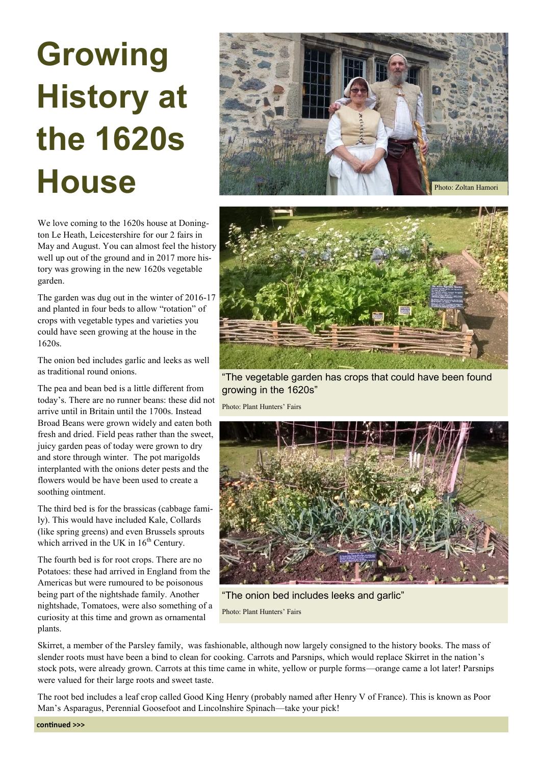## **Growing History at the 1620s**



We love coming to the 1620s house at Donington Le Heath, Leicestershire for our 2 fairs in May and August. You can almost feel the history well up out of the ground and in 2017 more history was growing in the new 1620s vegetable garden.

The garden was dug out in the winter of 2016-17 and planted in four beds to allow "rotation" of crops with vegetable types and varieties you could have seen growing at the house in the 1620s.

The onion bed includes garlic and leeks as well as traditional round onions.

The pea and bean bed is a little different from today's. There are no runner beans: these did not arrive until in Britain until the 1700s. Instead Broad Beans were grown widely and eaten both fresh and dried. Field peas rather than the sweet, juicy garden peas of today were grown to dry and store through winter. The pot marigolds interplanted with the onions deter pests and the flowers would be have been used to create a soothing ointment.

The third bed is for the brassicas (cabbage family). This would have included Kale, Collards (like spring greens) and even Brussels sprouts which arrived in the UK in  $16<sup>th</sup>$  Century.

The fourth bed is for root crops. There are no Potatoes: these had arrived in England from the Americas but were rumoured to be poisonous being part of the nightshade family. Another nightshade, Tomatoes, were also something of a curiosity at this time and grown as ornamental plants.



"The vegetable garden has crops that could have been found growing in the 1620s"

Photo: Plant Hunters' Fairs



"The onion bed includes leeks and garlic" Photo: Plant Hunters' Fairs

Skirret, a member of the Parsley family, was fashionable, although now largely consigned to the history books. The mass of slender roots must have been a bind to clean for cooking. Carrots and Parsnips, which would replace Skirret in the nation's stock pots, were already grown. Carrots at this time came in white, yellow or purple forms—orange came a lot later! Parsnips were valued for their large roots and sweet taste.

The root bed includes a leaf crop called Good King Henry (probably named after Henry V of France). This is known as Poor Man's Asparagus, Perennial Goosefoot and Lincolnshire Spinach—take your pick!